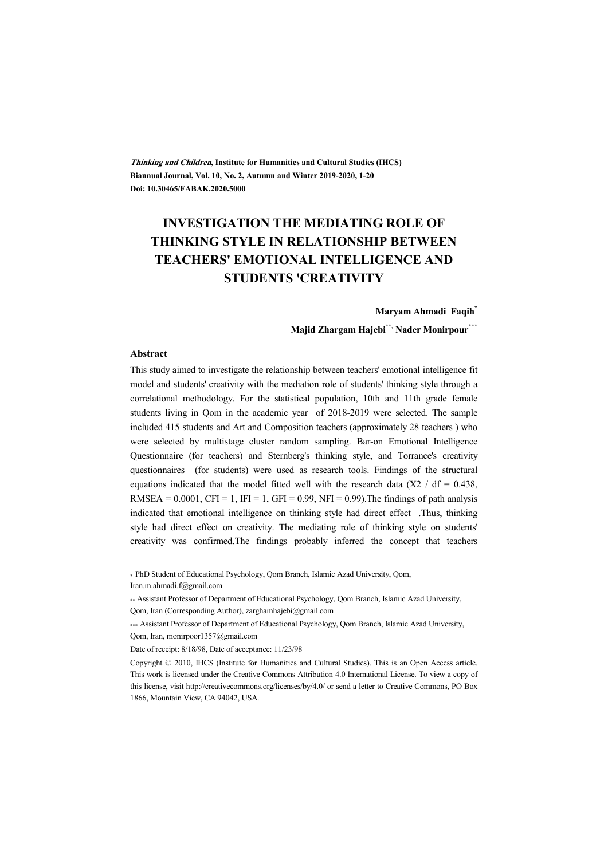**Thinking and Children, Institute for Humanities and Cultural Studies (IHCS) Biannual Journal, Vol. 10, No. 2, Autumn and Winter 2019-2020, 1-20 Doi: 10.30465/FABAK.2020.5000** 

# **INVESTIGATION THE MEDIATING ROLE OF THINKING STYLE IN RELATIONSHIP BETWEEN TEACHERS' EMOTIONAL INTELLIGENCE AND STUDENTS 'CREATIVITY**

#### **Maryam Ahmadi Faqih\***

**Majid Zhargam Hajebi\*\*, Nader Monirpour\*\*\***

#### **Abstract**

This study aimed to investigate the relationship between teachers' emotional intelligence fit model and students' creativity with the mediation role of students' thinking style through a correlational methodology. For the statistical population, 10th and 11th grade female students living in Qom in the academic year of 2018-2019 were selected. The sample included 415 students and Art and Composition teachers (approximately 28 teachers ) who were selected by multistage cluster random sampling. Bar-on Emotional Intelligence Questionnaire (for teachers) and Sternberg's thinking style, and Torrance's creativity questionnaires (for students) were used as research tools. Findings of the structural equations indicated that the model fitted well with the research data ( $X2 / df = 0.438$ , RMSEA =  $0.0001$ , CFI = 1, IFI = 1, GFI = 0.99, NFI = 0.99). The findings of path analysis indicated that emotional intelligence on thinking style had direct effect .Thus, thinking style had direct effect on creativity. The mediating role of thinking style on students' creativity was confirmed.The findings probably inferred the concept that teachers

\* PhD Student of Educational Psychology, Qom Branch, Islamic Azad University, Qom, Iran.m.ahmadi.f@gmail.com

:

<sup>\*\*</sup> Assistant Professor of Department of Educational Psychology, Qom Branch, Islamic Azad University, Qom, Iran (Corresponding Author), zarghamhajebi@gmail.com

<sup>\*\*\*</sup> Assistant Professor of Department of Educational Psychology, Qom Branch, Islamic Azad University, Qom, Iran, monirpoor1357@gmail.com

Date of receipt: 8/18/98, Date of acceptance: 11/23/98

Copyright © 2010, IHCS (Institute for Humanities and Cultural Studies). This is an Open Access article. This work is licensed under the Creative Commons Attribution 4.0 International License. To view a copy of this license, visit http://creativecommons.org/licenses/by/4.0/ or send a letter to Creative Commons, PO Box 1866, Mountain View, CA 94042, USA.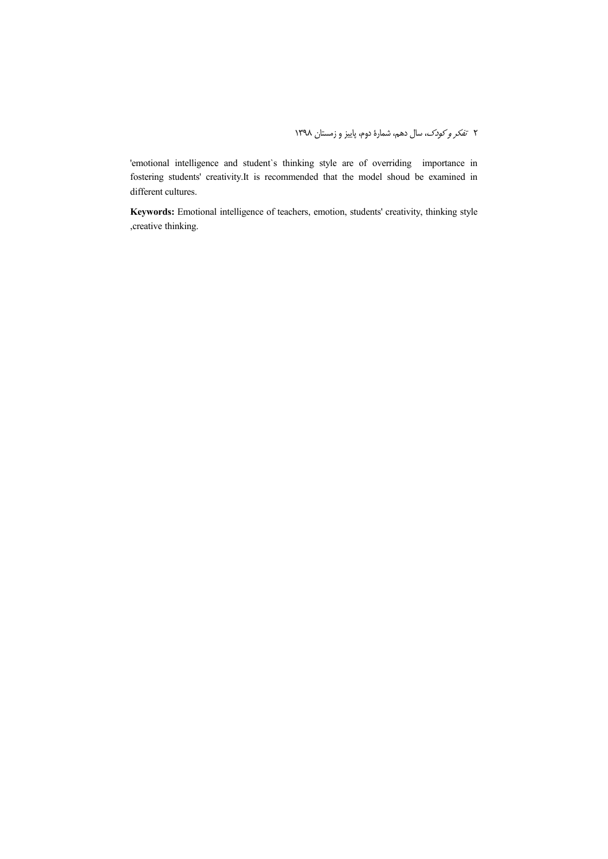'emotional intelligence and student`s thinking style are of overriding importance in fostering students' creativity.It is recommended that the model shoud be examined in different cultures.

**Keywords:** Emotional intelligence of teachers, emotion, students' creativity, thinking style ,creative thinking.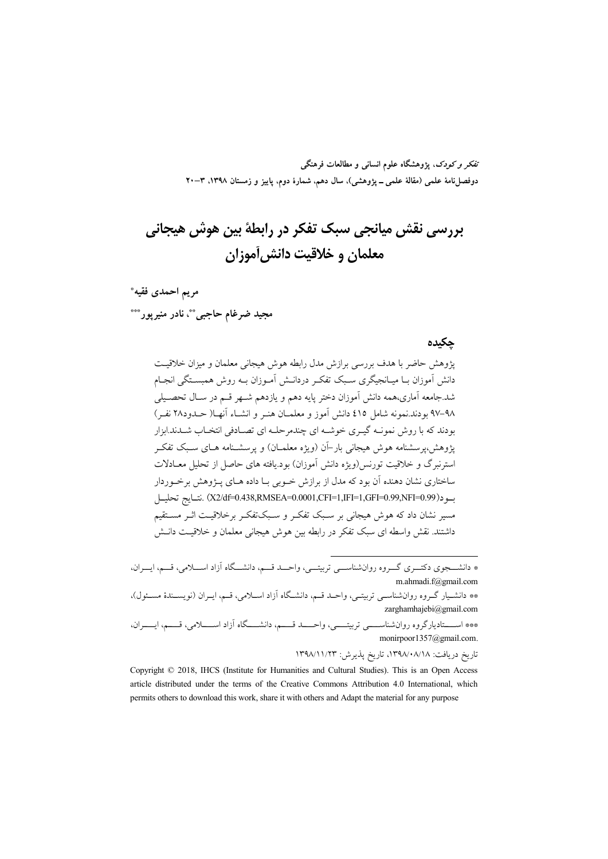تفکر و کودک، یژوهشگاه علوم انسانی و مطالعات فرهنگی دوفصلiامهٔ علمی (مقالهٔ علمی ــ پژوهشی)، سال دهم، شمارهٔ دوم، پاییز و زمستان ۱۳۹۸، ۳–۲۰

# بررسی نقش میانجی سبک تفکر در رابطهٔ بین هوش هیجانی معلمان و خلاقیت دانش آموزان

مريم احمدي فقيه\*

مجيد ضرغام حاجبي\*\*، نادر منيرپور\*\*\*

### حكىدە

یژوهش حاضر با هدف بررسی برازش مدل رابطه هوش هیجانی معلمان و میزان خلاقیت دانش آموزان بـا میـانجیگری سـبک تفکـر دردانـش آمـوزان بـه روش همبسـتگی انجـام شد.جامعه آماری،همه دانش آموزان دختر پایه دهم و یازدهم شـهر قـم در سـال تحصـیلی ٩٨–٩٧ بودند.نمونه شامل ٤١٥ دانش آموز و معلمــان هنــر و انشــاء آنهــا( حــدود٢٨ نفـر) بو دند که با روش نمونـه گیـری خوشـه ای چندمرحلـه ای تصـادفی انتخـاب شــدند.ابزار یژوهش،پرسشنامه هوش هیجانی بار-آن (ویژه معلمـان) و پرسشـنامه هـای سـبک تفکـر استرنبرگ و خلاقیت تورنس(ویژه دانش آموزان) بود.یافته های حاصل از تحلیل معـادلات ساختاری نشان دهنده آن بود که مدل از برازش خـوبی بـا داده هـای پــژوهش برخـوردار بود(X2/df=0.438,RMSEA=0.0001,CFI=1,IFI=1,GFI=0.99,NFI=0.99).نتــايج تحليــل مسیر نشان داد که هوش هیجانی بر سـبک تفکـر و سـبکتفکـر برخلاقیـت اثــر مسـتقیم داشتند. نقش واسطه ای سبک تفکر در رابطه بین هوش هیجانی معلمان و خلاقیت دانـش

تاريخ دريافت: ١٣٩٨/٠٨/١٨ تاريخ يذيرش: ١٣٩٨/١١/٢٣

Copyright © 2018, IHCS (Institute for Humanities and Cultural Studies). This is an Open Access article distributed under the terms of the Creative Commons Attribution 4.0 International, which permits others to download this work, share it with others and Adapt the material for any purpose

<sup>\*</sup> دانشـــجوی دکتـــری گـــروه روانشناســـی تربیتـــی، واحـــد قـــم، دانشـــگاه آزاد اســـلامی، قـــم، ایـــران، m.ahmadi.f@gmail.com \*\* دانشـيار گـروه روانشناسـي تربيتـي، واحـد قـم، دانشـگاه آزاد اسـلامي، قـم، ايـران (نويسـندۀ مسـئول)، zarghamhajebi@gmail.com

<sup>\*\*\*</sup> اســــتاديارگروه روان شناســــي تربيتــــي، واحــــد قــــم، دانشــــگاه آزاد اســـــلامي، قــــم، ايــــران، monirpoor1357@gmail.com.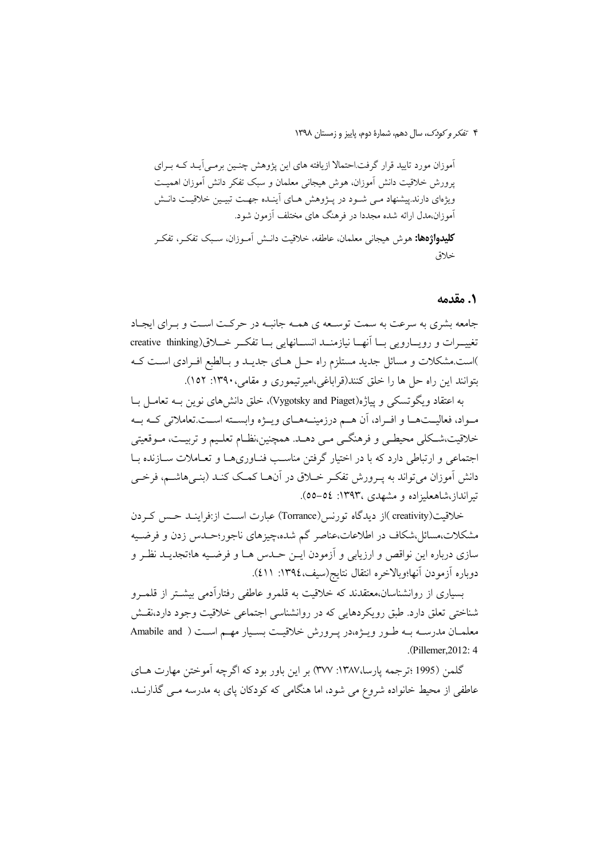۴ تفكر وكودك، سال دهم، شمارة دوم، ياييز و زمستان ١٣٩٨

آموزان مورد تایید قرار گرفت.احتمالا ازیافته های این پژوهش چنسین برمبی آیــد کــه بــرای پرورش خلاقیت دانش آموزان، هوش هیجانی معلمان و سبک تفکر دانش آموزان اهمیت ویژهای دارند.پیشنهاد مـی شـود در پـژوهش هـای آینـده جهـت تبیـین خلاقیـت دانـش آموزان،مدل ارائه شده مجددا در فرهنگ های مختلف آزمون شود. **كليدواژهها:** هوش هيجاني معلمان، عاطفه، خلاقيت دانــش آمــوزان، ســبک تفکــر، تفکــر خلاق

### ١. مقدمه

جامعه بشری به سرعت به سمت توسـعه ی همـه جانبـه در حرکـت اسـت و بـرای ایجـاد تغییــرات و رویــارویی بــا آنهــا نیازمنــد انســانهایی بــا تفکــر خــلاق(creative thinking )است.مشکلات و مسائل جدید مستلزم راه حـل هـای جدیـد و بـالطبع افـرادی اسـت کـه بتوانند این راه حل ها را خلق کنند(قراباغی،امیرتیموری و مقامی، ۱۳۹۰: ۱۵۲).

به اعتقاد ویگوتسکی و پیاژه(Vygotsky and Piaget)، خلق دانش های نوین بـه تعامــل بــا مـواد، فعالیــتهــا و افــراد، أن هــم درزمینــههــاي ویــژه وابســته اســت.تعاملاتی كــه بــه خلاقیت،شکلی محیطـی و فرهنگـی مـی دهــد. همچنین،نظـام تعلـیم و تربیــت، مــوقعیتی اجتماعی و ارتباطی دارد که با در اختیار گرفتن مناسب فنـاوریهـا و تعـاملات سـازنده بـا دانش آموزان میتواند به پـرورش تفکـر خــلاق در آنهــا کمـک کنــد (بنــی۵اشــم، فرخــی تیر انداز،شاهعلیزاده و مشهدی ،۱۳۹۳: ٥٤–٥٥).

خلاقیت(creativity )از دیدگاه تورنس(Torrance) عبارت است از:فراینـد حـس کـردن مشکلات،مسائل،شکاف در اطلاعات،عناصر گم شده،چیزهای ناجور؛حـدس زدن و فرضـیه سازي درباره اين نواقص و ارزيابي و اَزمودن ايــن حــدس هــا و فرضــيه ها؛تجديــد نظــر و دوباره أزمودن أنها؛وبالاخره انتقال نتايج(سيف،١٣٩٤: ٤١١).

بسیاری از روانشناسان،معتقدند که خلاقیت به قلمرو عاطفی رفتارآدمی بیشتر از قلمـرو شناختی تعلق دارد. طبق رویکردهایی که در روانشناسی اجتماعی خلاقیت وجود دارد،نقش معلمیان مدرسته بـه طـور ویـــ; ه،در یــرورش خلاقیـت بسـیار مهــم اسـت ( Amabile and .(Pillemer, 2012: 4)

گلمن (1995 ؛ترجمه يارسا،١٣٨٧: ٣٧٧) بر اين باور بود كه اگرچه آموختن مهارت هــاي عاطفی از محیط خانواده شروع می شود، اما هنگامی که کودکان یای به مدرسه مـی گذارنـد.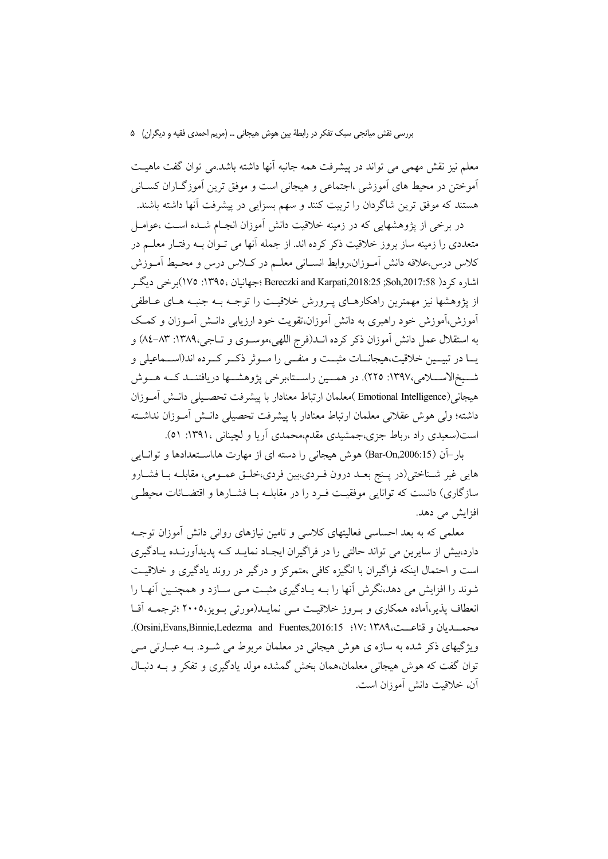معلم نیز نقش مهمی می تواند در پیشرفت همه جانبه آنها داشته باشد.می توان گفت ماهیـت آموختن در محیط های آموزشی ،اجتماعی و هیجانی است و موفق ترین آموزگــاران کســانی هستند که موفق ترین شاگردان را تربیت کنند و سهم بسزایی در پیشرفت آنها داشته باشند.

در برخی از پژوهشهایی که در زمینه خلاقیت دانش آموزان انجـام شــده اســت ،عوامــل متعددي را زمينه ساز بروز خلاقيت ذكر كرده اند. از جمله آنها مي تــوان بــه رفتــار معلــم در كلاس درس،علاقه دانش آمـوزان،روابط انســاني معلــم در كــلاس درس و محـيط آمـوزش اشاره کر د( Soh,2017:58; Sch,2017:58; Bereczki and Karpati,2018:25; 104)برخی دیگ از پژوهشها نیز مهمترین راهکارهـای پـرورش خلاقیـت را توجـه بــه جنبــه هــای عــاطفی آموزش،آموزش خود راهبری به دانش آموزان،تقویت خود ارزیابی دانــش آمــوزان و کـمــک به استقلال عمل دانش آموزان ذکر کرده انــد(فرج اللهي،موســوي و تــاجي،١٣٨٩: ٨٣-٨٤) و یــا در تبیــین خلاقیت،هیجانــات مثبــت و منفــی را مــوثر ذکــر کــرده اند(اســماعیلی و شــیخ|لاســـلامی،١٣٩٧: ٢٢٥). در همـــین راســتا،برخی پژوهشـــها دریافتنــد کــه هـــوش هيجاني(Emotional Intelligence )معلمان ارتباط معنادار با ييشرفت تحصـيلي دانــش أمــوزان داشته؛ ولی هوش عقلانی معلمان ارتباط معنادار با پیشرفت تحصیلی دانــش آمــوزان نداشــته است(سعیدی راد ،رباط جزی،جمشیدی مقدم،محمدی آریا و لچینانی ،۱۳۹۱: ۵۱).

بار-آن (Bar-On,2006:15) هوش هیجانی را دسته ای از مهارت ها،استعدادها و توانایی هایی غیر شـناختی(در پـنج بعـد درون فـردي،بين فردي،خلـق عمـومی، مقابلـه بـا فشـارو سازگاری) دانست که توانایی موفقیت فـرد را در مقابلـه بـا فشـارها و اقتضـائات محیطـی افزایش می دهد.

معلمی که به بعد احساسی فعالیتهای کلاسی و تامین نیازهای روانی دانش آموزان توجـه دارد،بیش از سایرین می تواند حالتی را در فراگیران ایجـاد نمایــد کــه پدیدآورنــده پــادگیری است و احتمال اینکه فراگیران با انگیزه کافی ،متمرکز و درگیر در روند یادگیری و خلاقیت شوند را افزایش می دهد،نگرش آنها را بــه پــادگیری مثبـت مــی ســازد و همچنــین آنهــا را انعطاف پذیر،آماده همکاری و بـروز خلاقیـت مـی نمایـد(مورتی بـویز،۲۰۰۵ ؛ترجمـه اَقـا محمــــديان و قناعـــت،١٣٨٩ :١٧: Orsini,Evans,Binnie,Ledezma and Fuentes,2016:15. ویژگیهای ذکر شده به سازه ی هوش هیجانی در معلمان مربوط می شـود. بـه عبـارتی مـی توان گفت که هوش هیجانی معلمان،همان بخش گمشده مولد یادگیری و تفکر و بـه دنبـال آن، خلاقیت دانش آموزان است.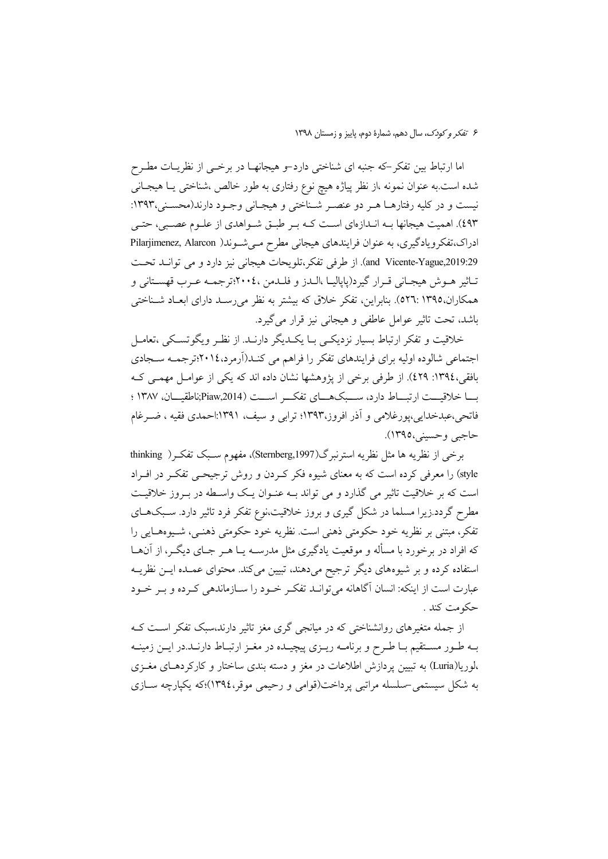اما ارتباط بین تفکر–که جنبه ای شناختی دارد–و هیجانهـا در برخــی از نظریــات مطـرح شده است.به عنوان نمونه ،از نظر پیاژه هیچ نوع رفتاری به طور خالص ،شناختی یـا هیجـانی نیست و در کلیه رفتارها هـر دو عنصـر شـناختی و هیجـانی وجـود دارند(محسـنی،۱۳۹۳: ٤٩٣). اهميت هيجانها بـه انـدازهاي اسـت كـه بـر طبـق شـواهدي از علـوم عصـبي، حتـي ادراک،تفکرویادگیری، به عنوان فرایندهای هیجانی مطرح می شوند( Pilarjimenez, Alarcon and Vicente-Yague,2019:29). از طرفی تفکر،تلویحات هیجانی نیز دارد و می توانـد تحـت تــاثير هــوش هيجــاني قــرار گيرد(پاياليــا ،الــدز و فلــدمن ،٢٠٠٤;ترجمــه عــرب قهســتاني و همکاران،١٣٩٥.١٣٩٥). بنابراين، تفكر خلاق كه بيشتر به نظر مي رسـد داراي ابعـاد شـناختي باشد، تحت تاثیر عوامل عاطفی و هیجانی نیز قرار می گیرد.

خلاقیت و تفکر ارتباط بسیار نزدیکی بـا یکـدیگر دارنـد. از نظـر ویگوتسـکی ،تعامـل اجتماعی شالوده اولیه برای فرایندهای تفکر را فراهم می کنـد(اَرمرد،٢٠١٤:ترجمـه سـجادی بافقی،١٣٩٤: ٤٢٩). از طرفي برخي از پژوهشها نشان داده اند كه يكي از عوامـل مهمـي كـه بسا خلاقيست ارتبساط دارد، سسبك هساي تفكسر اسست (Piaw,2014;ناطقيسان، ١٣٨٧ ؛ فاتحی،عبدخدایی،پورغلامی و اَذر افروز،۱۳۹۳؛ ترابی و سیف، ۱۳۹۱:احمدی فقیه ، ضــرغام حاجبي وحسيني،١٣٩٥).

برخي از نظريه ها مثل نظريه استرنبرگ(Sternberg,1997)، مفهوم سـبک تفکـر( thinking style) را معرفی کرده است که به معنای شیوه فکر کـردن و روش ترجیحـی تفکـر در افـراد است که بر خلاقیت تاثیر می گذارد و می تواند بـه عنـوان یـک واسـطه در بـروز خلاقیـت مطرح گردد.زیرا مسلما در شکل گیری و بروز خلاقیت،نوع تفکر فرد تاثیر دارد. سـبکهـای تفكر، مبتنى بر نظريه خود حكومتى ذهنى است. نظريه خود حكومتى ذهنـي، شـيوهـايى را که افراد در برخورد با مسأله و موقعیت یادگیری مثل مدرسـه یــا هــر جــای دیگــر، از آن@ــا استفاده کرده و بر شیوههای دیگر ترجیح میدهند، تبیین میکند. محتوای عمـده ایــن نظریــه عبارت است از اینکه: انسان آگاهانه میتوانـد تفکـر خـود را سـازماندهی کـرده و بـر خـود حکومت کند .

از جمله متغیرهای روانشناختی که در میانجی گری مغز تاثیر دارند،سبک تفکر است ک بـه طـور مســتقيم بـا طـرح و برنامــه ريــزي پيچيــده در مغــز ارتبــاط دارنــد.در ايــن زمينــه ،لوریا(Luria) به تبیین یردازش اطلاعات در مغز و دسته بندی ساختار و کارکردهـای مغـزی به شکل سیستمی –سلسله مراتبی یرداخت(قوامی و رحیمی موقر،١٣٩٤)؛که یکپارچه ســازی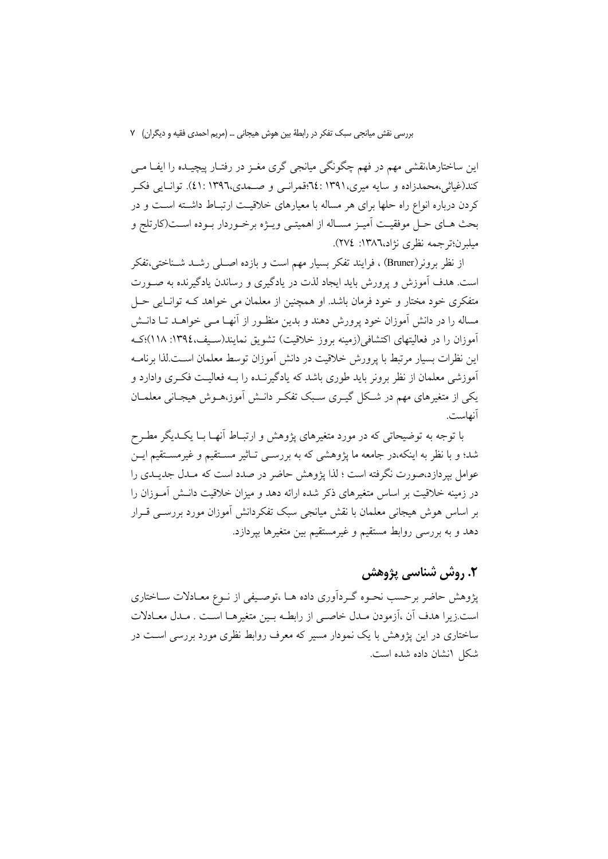این ساختارها،نقشی مهم در فهم چگونگی میانجی گری مغـز در رفتـار پیچیــده را ایفــا مــی کند(غیاثی،محمدزاده و سایه میری،۱۳۹۱: ۲۴:قمرانسی و صــمدی،۱۳۹٦: ٤١). توانــایی فکــر کردن درباره انواع راه حلها برای هر مساله با معیارهای خلاقیت ارتبـاط داشـته اسـت و در بحث هـاي حـل موفقيـت اَميـز مسـاله از اهميتـي ويــژه برخـوردار بــوده اســت(كارتلج و میلبرن؛ترجمه نظری نژاد،١٣٨٦: ٢٧٤).

از نظر برونر (Bruner) ، فرایند تفکر بسیار مهم است و بازده اصـلی رشــد شــناختی،تفکر است. هدف آموزش و پرورش باید ایجاد لذت در یادگیری و رساندن یادگیرنده به صـورت متفکری خود مختار و خود فرمان باشد. او همچنین از معلمان می خواهد کـه توانـایی حـل مساله را در دانش آموزان خود پرورش دهند و بدین منظـور از آنهـا مـی خواهــد تــا دانــش آموزان را در فعالیتهای اکتشافی(زمینه بروز خلاقیت) تشویق نمایند(سـیف،١٣٩٤: ١١٨)؛کـه این نظرات بسیار مرتبط با پرورش خلاقیت در دانش آموزان توسط معلمان اسـت.لذا برنامـه آموزشی معلمان از نظر برونر باید طوری باشد که یادگیرنــده را بــه فعالیــت فکــری وادارد و یکی از متغیرهای مهم در شکل گیــری ســبک تفکــر دانــش آموز،هــوش هیجــانی معلمــان آنهاست.

با توجه به توضیحاتی که در مورد متغیرهای پژوهش و ارتبـاط آنهـا بــا یکــدیگر مطـرح شد؛ و با نظر به اینکه،در جامعه ما پژوهشی که به بررسـی تـاثیر مسـتقیم و غیرمسـتقیم ایــن عوامل بیردازد،صورت نگرفته است ؛ لذا پژوهش حاضر در صدد است که مــدل جدیــدی را در زمینه خلاقیت بر اساس متغیرهای ذکر شده ارائه دهد و میزان خلاقیت دانـش آمــوزان را بر اساس هوش هیجانی معلمان با نقش میانجی سبک تفکردانش آموزان مورد بررســی قــرار دهد و به بررسی روابط مستقیم و غیرمستقیم بین متغیرها بیردازد.

### ٢. روش شناسي پژوهش

پژوهش حاضر برحسب نحـوه گـرداّوري داده هــا ،توصـيفي از نــوع معــادلات ســاختاري است.زيرا هدف أن ،أزمودن مـدل خاصـي از رابطـه بـين متغيرهـا اسـت . مـدل معـادلات ساختاری در این پژوهش با یک نمودار مسیر که معرف روابط نظری مورد بررسی است در شکل انشان داده شده است.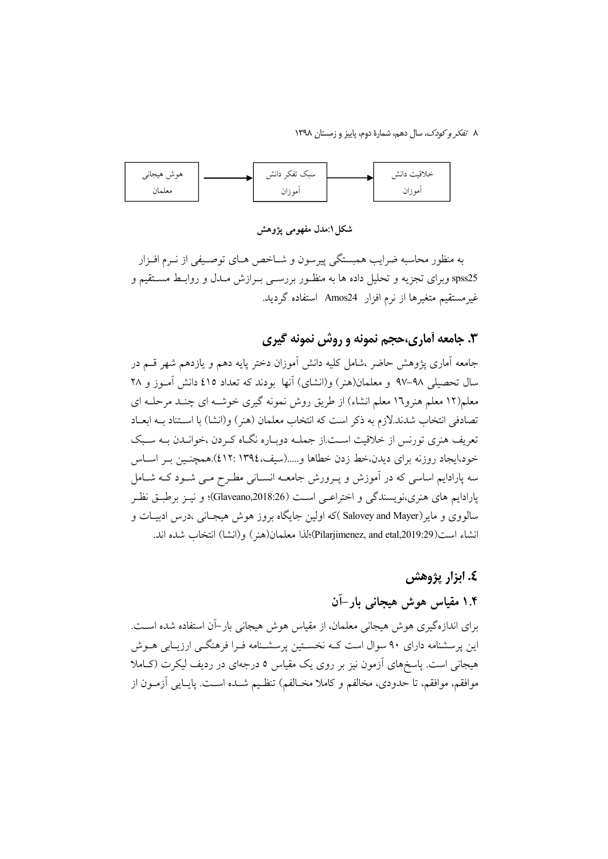

شکا ۱:مدل مفهومی یژوهش

به منظور محاسبه ضرایب همبستگی پیرسون و شـاخص هـای توصـیفی از نـرم افـزار spss25 وبرای تجزیه و تحلیل داده ها به منظـور بررسـی بـرازش مـدل و روابـط مســتقیم و غیر مستقیم متغیرها از نرم افزار Amos24 استفاده گردید.

## ۴. جامعه آماري،حجم نمونه و روش نمونه گيري

جامعه آماری یژوهش حاضر ،شامل کلیه دانش آموزان دختر پایه دهم و یازدهم شهر قسم در سال تحصیلی ۹۸–۹۷ و معلمان(هنر) و(انشای) آنها بودند که تعداد ٤١٥ دانش آمـوز و ۲۸ معلم(۱۲ معلم هنرو۱۲ معلم انشاء) از طریق روش نمونه گیری خوشـه ای چنـد مرحلـه ای تصادفي انتخاب شدند.لازم به ذكر است كه انتخاب معلمان (هنر ) و(انشا) با اسـتناد بــه ابعــاد تعریف هنری تورنس از خلاقیت اسـت.از جملــه دوبـاره نگــاه کـردن ،خوانــدن بــه سـبک خود،ایجاد روزنه برای دیدن،خط زدن خطاها و.....(سیف،١٣٩٤.١٣٩٤).همچنـین بـر اسـاس سه پارادایم اساسی که در آموزش و پـرورش جامعــه انســانی مطـرح مــی شــود کــه شــامل پارادايم هاي هنري،نويسندگي و اختراعـي اسـت (Glaveano,2018:26)؛ و نيـز برطبـق نظـر سالووی و مایر(Salovey and Mayer )که اولین جایگاه بروز هوش هیجـانی ،درس ادبیــات و انشاء است(Pilarjimenez, and etal,2019:29)؛لذا معلمان(هنر) و(انشا) انتخاب شده اند.

### ٤. ابزار پژوهش

# ۱.۴ مقیاس هوش هیجانی بار–آن

برای اندازهگیری هوش هیجانی معلمان، از مقیاس هوش هیجانی بار-آن استفاده شده است. این پرسشنامه دارای ۹۰ سوال است کـه نخسـتین پرسشـنامه فـرا فرهنگـی ارزیـابی هــوش هیجانی است. پاسخهای آزمون نیز بر روی یک مقیاس ٥ درجهای در ردیف لیکرت (کـاملا موافقم، موافقم، تا حدودی، مخالفم و کاملا مخـالفم) تنظـیم شــده اســت. پایــایی آزمــون از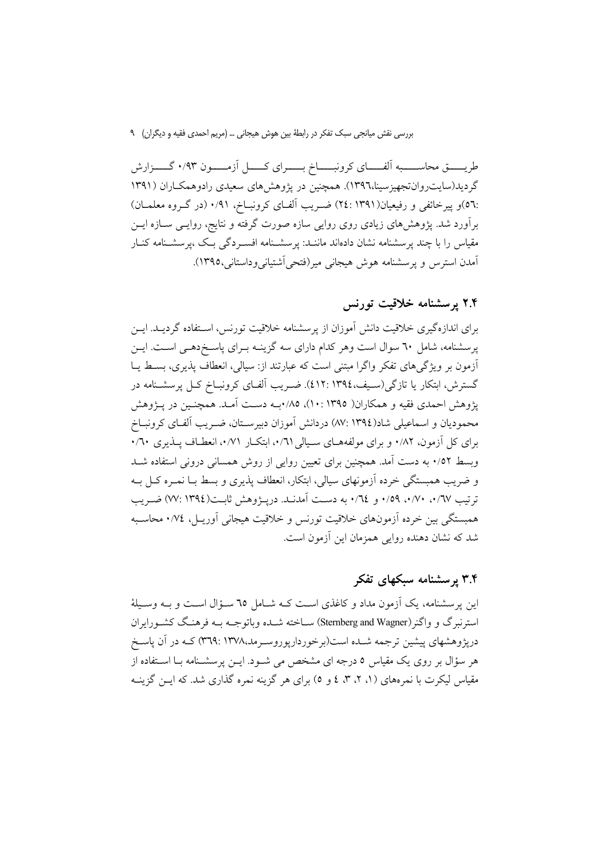طریــــــق محاســــــبه الفــــــای کرونبــــــاخ بــــــرای کـــــل اَزمــــــون ۰/۹۳ گـــــزارش گردید(سایت روان تجهیزسینا،۱۳۹٦). همچنین در پژوهش های سعیدی رادوهمکـاران (۱۳۹۱ :٥٦)و پیرخائفی و رفیعیان(١٣٩١ :٢٤) ضـریب الفـای کرونبــاخ، ٠/٩١ (در گـروه معلمــان) برآورد شد. پژوهشهای زیادی روی روایی سازه صورت گرفته و نتایج، روایـی ســازه ایــن مقیاس را با چند پرسشنامه نشان داد<mark>هاند ماننــد: پرسشــنامه افســردگی بـک ،پرسشــنامه کن</mark>ــار آمدن استرس و پرسشنامه هوش هیجانی میر(فتحی آشتیانی وداستانی،۱۳۹۵).

### ۲.۴ پرسشنامه خلاقیت تورنس

برای اندازهگیری خلاقیت دانش آموزان از پرسشنامه خلاقیت تورنس، استفاده گردیــد. ایــن پرسشنامه، شامل ٦٠ سوال است وهر كدام داراي سه گزينـه بـراي پاسـخ(دهـي اسـت. ايـن أزمون بر ویژگیهای تفکر واگرا مبتنی است که عبارتند از: سیالی، انعطاف پذیری، بسط یـا گسترش، ابتکار یا تازگی(سیف،١٣٩٤، ٤١٢). ضـریب الفـای کرونبــاخ کــل پرسشــنامه در يژوهش احمدي فقيه و همكاران( ١٣٩٥ :١٠)، ٨٥/ ميه دست آمـد. همچنـين در يـژوهش محمودیان و اسماعیلی شاد(١٣٩٤ :٨٧) دردانش آموزان دبیرسـتان، ضـریب آلفـای کرونبــاخ برای کل آزمون، ۰/۸۲ و برای مولفههبای سبالی ۰/٦۱، اینکبار ۰/۷۱، انعطیاف پیذیری ۰/٦۰ وبسط ۰/٥۲ به دست آمد. همچنین برای تعیین روایی از روش همسانی درونی استفاده شـد و ضریب همبستگی خرده آزمونهای سیالی، ابتکار، انعطاف پذیری و بسط بــا نمــره کــل بــه توتيب ٧٧٪. ٧٠٪. ١٥٩٪ و ٢٤٪. به دست آمدنــد. دريـــۋوهش ثابــت(١٣٩٤ :٧٧) ضــريب همبستگی بین خرده اَزمونهای خلاقیت تورنس و خلاقیت هیجانی اَوریـل، ١٧٤. محاسـبه شد که نشان دهنده روایی همزمان این آزمون است.

### ۳.۴ پرسشنامه سبکهای تفکر

این پرسشنامه، یک آزمون مداد و کاغذی است کـه شـامل ٦٥ سـؤال اسـت و بـه وسـیلهٔ استرنبرگ و واگنر(Sternberg and Wagner) سـاخته شـده وباتوجــه بــه فرهنـگ کشــورايران درپژوهشهای پیشین ترجمه شـده است(برخوردارپوروسـرمد،۱۳۷۸ :۱۳۷۹) کـه در آن پاسـخ هر سؤال بر روی یک مقیاس ٥ درجه ای مشخص می شـود. ایــن پرسشـنامه بـا اسـتفاده از مقیاس لیکرت با نمرههای (۱، ۲، ۳، ٤ و ٥) برای هر گزینه نمره گذاری شد. که ایــن گزینــه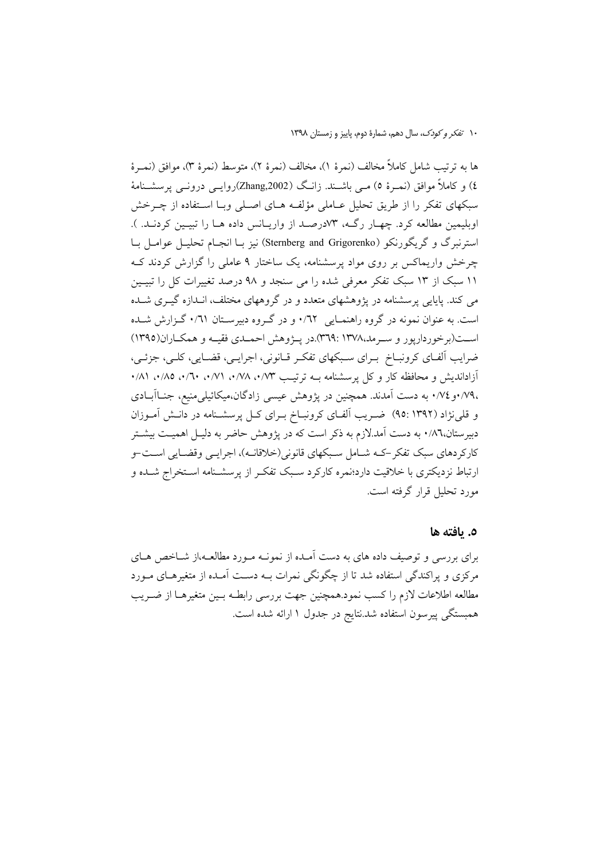ها به ترتيب شامل كاملاً مخالف (نمرة ١)، مخالف (نمرة ٢)، متوسط (نمرة ٣)، موافق (نمـرة ٤) و کاملاً موافق (نمبرۂ ٥) مبی باشـند. زانـگ (Zhang,2002)روایـبی درونـبی پرسشـنامهٔ سبکهای تفکر را از طریق تحلیل عــاملی مؤلفــه هــای اصــلی وبــا اســتفاده از چــرخش اوبلیمین مطالعه کرد. چهـار رگـه، ۷۳درصـد از واریـانس داده هـا را تبیـین کردنـد. ). استرنبرگ و گریگورنکو (Sternberg and Grigorenko) نیز بـا انجـام تحلیـل عوامـل بـا چرخش واریماکس بر روی مواد پرسشنامه، یک ساختار ۹ عاملی را گزارش کردند ک ۱۱ سبک از ۱۳ سبک تفکر معرفی شده را می سنجد و ۹۸ درصد تغییرات کل را تبیـین می کند. پایایی پرسشنامه در پژوهشهای متعدد و در گروههای مختلف، انـدازه گیــری شــده است. به عنوان نمونه در گروه راهنمـایی ۰/٦۲ و در گـروه دبیرسـتان ۰/٦۱ گـزارش شـده است(برخوردارپور و سرمد،۱۳۷۸ :۱۳۷۹ .هر پـژوهش احمـدي فقيـه و همكـاران(۱۳۹۵) ضرایب الفای کرونبـاخ بـرای سـبکهای تفکـر قـانونی، اجرایـی، قضـایی، کلـی، جزئـی، آزاداندیش و محافظه کار و کل پرسشنامه بـه ترتیب ۱/۳، ۰/۷۸، ۰/۷۱، ۰/۲۰، ۸۵/۰، ۱/۸۱ ،٧٩، و ٧٤، به دست آمدند. همچنین در یژوهش عیسی زادگان،میکائیلی منیع، جنـاآبــادی و قلمی نژاد (۹۲°۹۱) شریب آلفای کرونباخ بـرای کـل پرسشـنامه در دانـش آمـوزان دبیرستان،۸٦٪ به دست آمد.لازم به ذکر است که در پژوهش حاضر به دلیـل اهمیـت بیشـتر کارکردهای سبک تفکر –کـه شـامل سـبکهای قانونی(خلاقانـه)، اجرایـی وقضـایی اسـت-و ارتباط نزدیکتری با خلاقیت دارد؛نمره کارکرد سبک تفکر از پرسشـنامه اسـتخراج شـده و مورد تحليل قرار گرفته است.

#### ٥. يافته ها

برای بررسی و توصیف داده های به دست آمـده از نمونـه مـورد مطالعـه،از شــاخص هـای مرکزی و پراکندگی استفاده شد تا از چگونگی نمرات بـه دسـت آمـده از متغیرهـای مـورد مطالعه اطلاعات لازم را كسب نمود.همچنين جهت بررسي رابطـه بـين متغيرهـا از ضـريب همبستگی پیرسون استفاده شد.نتایج در جدول ۱ ارائه شده است.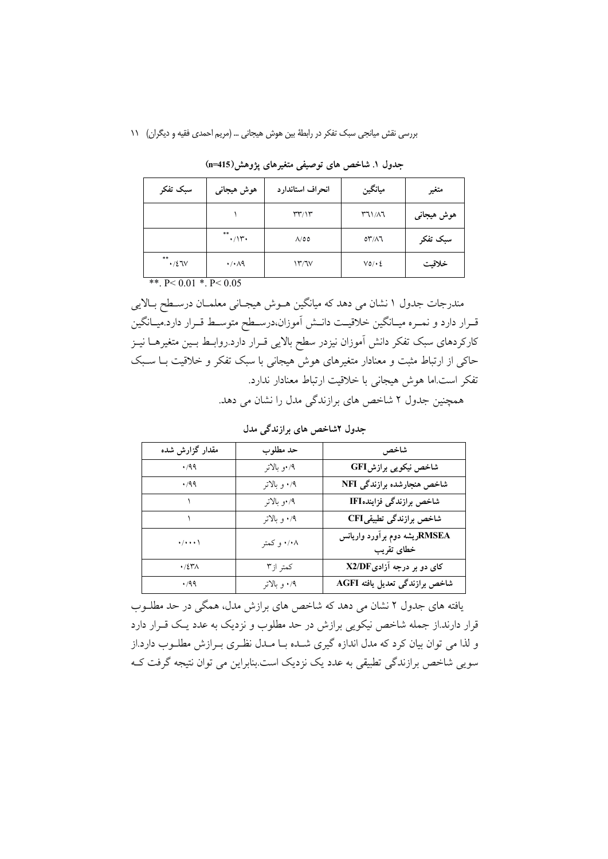| سبک تفکر                 | هوش هيجاني                  | انحراف استاندارد                   | ميانگين      | متغير      |
|--------------------------|-----------------------------|------------------------------------|--------------|------------|
|                          |                             | $\Upsilon\Upsilon/\Upsilon$        | $T1/\lambda$ | ہوش ہیجانی |
|                          | $***$<br>$\cdot/\gamma$     | $\Lambda/\mathfrak{0}\mathfrak{0}$ | $OY/\Lambda$ | سبک تفکر   |
| $***$<br>$\cdot$ /27 $V$ | $\cdot$ / $\cdot$ $\land$ 9 | ۱۳/٦۷                              | $V0/\cdot 2$ | خلاقيت     |

جدول ۱. شاخص های توصیفی متغیرهای یژوهش(115=n)

\*\*.  $P < 0.01$  \*.  $P < 0.05$ 

مندرجات جدول ۱ نشان می دهد که میانگین هـوش هیجـانی معلمـان درسـطح بـالایی قـرار دارد و نمـره ميـانگين خلاقيـت دانـش آموزان،درسـطح متوسـط قـرار دارد.ميـانگين کارکردهای سبک تفکر دانش آموزان نیزدر سطح بالایی قـرار دارد.روابـط بـین متغیرهــا نیــز حاکی از ارتباط مثبت و معنادار متغیرهای هوش هیجانی با سبک تفکر و خلاقیت بـا سـبک تفكر است اما هوش هيجاني با خلاقيت ارتباط معنادار ندارد.

همچنین جدول ۲ شاخص های برازندگی مدل را نشان می دهد.

| مقدار گزارش شده         | حد مطلوب     | شاخص                                       |
|-------------------------|--------------|--------------------------------------------|
| .499                    | ۰/۹ر بالاتر  | شاخص نیکویی برازشGFI                       |
| .499                    | ۰/۹ و بالاتر | شاخص هنجارشده برازندگی NFI                 |
|                         | ۰/۹ر بالاتر  | شاخص برازندگی فزایندهIFI                   |
|                         | ۰/۹ و بالاتر | شاخص برازندگی تطبیقیCFI                    |
| $\cdot/\cdot\cdot\cdot$ | ۰/۰۸ و کمتر  | RMSEAریشه دوم برآورد واریانس<br>خطاى تقريب |
| $\cdot$ /٤٣٨            | كمتر از٣     | کای دو بر درجه آزادیX2/DF                  |
| .499                    | ۰/۹ و بالاتر | شاخص برازندگی تعدیل یافته AGFI             |

جدول ۲شاخص های برازندگی مدل

یافته های جدول ۲ نشان می دهد که شاخص های برازش مدل، همگی در حد مطلـوب قرار دارند.از جمله شاخص نیکویی برازش در حد مطلوب و نزدیک به عدد یـک قــرار دارد و لذا می توان بیان کرد که مدل اندازه گیری شـده بـا مـدل نظـری بـرازش مطلـوب دارد.از سویی شاخص برازندگی تطبیقی به عدد یک نزدیک است.بنابراین می توان نتیجه گرفت ک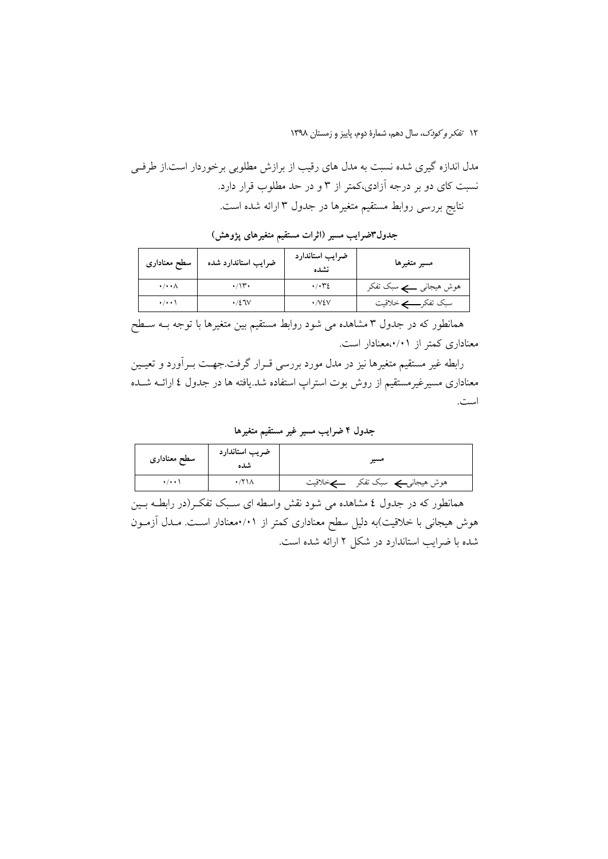مدل اندازه گیری شده نسبت به مدل های رقیب از برازش مطلوبی برخوردار است.از طرفی نسبت کای دو بر درجه آزادی،کمتر از ۳ و در حد مطلوب قرار دارد. نتايج بررسي روابط مستقيم متغيرها در جدول ٣ ارائه شده است.

| سطح معناداري             | ضرایب استاندارد شده | ضرايب استاندارد<br>نشده     | مسير متغيرها           |
|--------------------------|---------------------|-----------------------------|------------------------|
| $\cdot/\cdot\cdot\wedge$ | $\cdot$             | $\cdot$ / $\cdot$ $\cdot$ 2 | ہوش ہیجانی کے سبک تفکر |
| $\cdot/\cdot\cdot$       | $\cdot$ /27 $V$     | $\cdot$ NEV                 |                        |

جدول۳ضرایب مسیر (اثرات مستقیم متغیرهای پژوهش)

همانطور که در جدول ۳ مشاهده می شود روابط مستقیم بین متغیرها با توجه بــه ســطح معناداری کمتر از ۰/۰۱معنادار است.

رابطه غیر مستقیم متغیرها نیز در مدل مورد بررسی قـرار گرفت.جهـت بـرآورد و تعیـین معناداری مسیرغیرمستقیم از روش بوت استراپ استفاده شد.یافته ها در جدول ٤ ارائــه شــده است.

جدول ۴ ضرایب مسیر غیر مستقیم متغیرها

| سطح معنادارى        | ضريب استاندارد<br>شده | مسير                            |
|---------------------|-----------------------|---------------------------------|
| $\cdot$ / $\cdot$ ) |                       | ہوش ہیجانیے سبک تفکر<br>ڪخلاقيت |

همانطور که در جدول ٤ مشاهده می شود نقش واسطه ای سـبک تفکـر(در رابطــه بــین هوش هیجانی با خلاقیت)به دلیل سطح معناداری کمتر از ۰/۱٫معنادار است. مـدل آزمـون شده با ضرایب استاندارد در شکل ۲ ارائه شده است.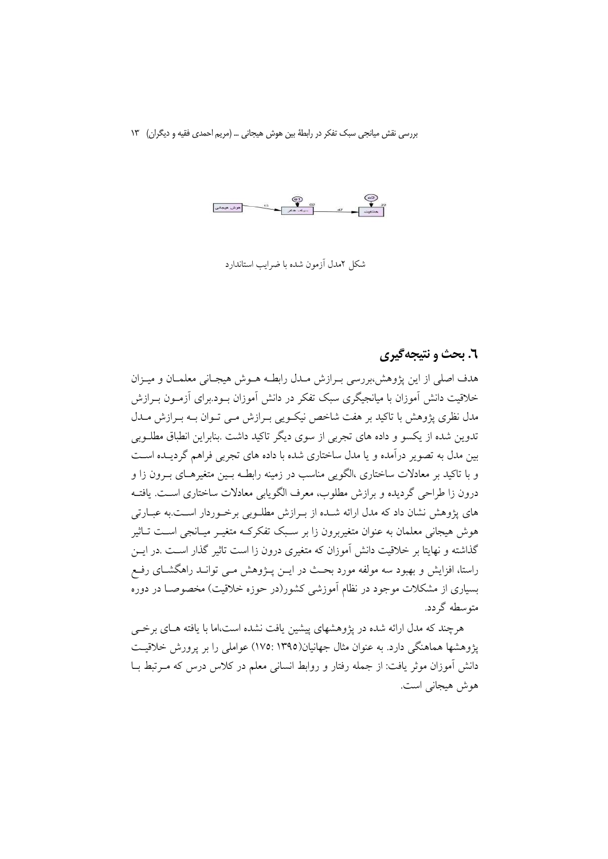شکل ۲مدل آزمون شده با ضرایب استاندارد

### ٦. بحث و نتيجه گيري

هدف اصلي از اين يژوهش،بررسي بـرازش مـدل رابطـه هـوش هيجـاني معلمـان و ميـزان خلاقیت دانش آموزان با میانجبگری سبک تفکر در دانش آموزان بود.برای آزمیون بیرازش مدل نظری پژوهش با تاکید بر هفت شاخص نیک ویی بـرازش مـی تـوان بــه بـرازش مــدل تدوین شده از یکسو و داده های تجربی از سوی دیگر تاکید داشت .بنابراین انطباق مطلبویی بین مدل به تصویر درآمده و یا مدل ساختاری شده با داده های تجربی فراهم گردیـده اسـت و با تاکید بر معادلات ساختاری ،الگویی مناسب در زمینه رابطـه بـین متغیرهـای بـرون زا و درون زا طراحی گردیده و برازش مطلوب، معرف الگویابی معادلات ساختاری اسـت. یافتـه های پژوهش نشان داد که مدل ارائه شـده از بـرازش مطلـوبی برخـوردار اسـت.به عبــارتی هوش هیجانی معلمان به عنوان متغیربرون زا بر سـبک تفکرکـه متغیــر میــانجی اســت تــاثیر گذاشته و نهایتا بر خلاقیت دانش آموزان که متغیری درون زا است تاثیر گذار است .در ایــن راستا، افزایش و بهبود سه مولفه مورد بحث در ایــن پــژوهش مــی توانــد راهگشــای رفــع بسیاری از مشکلات موجود در نظام آموزشی کشور(در حوزه خلاقیت) مخصوصـا در دوره متوسطه گردد.

هرچند که مدل ارائه شده در پژوهشهای پیشین یافت نشده است،اما با یافته هـای برخــی یژوهشها هماهنگی دارد. به عنوان مثال جهانیان(۱۳۹۵ :۱۷۵) عواملی را بر پرورش خلاقیت دانش آموزان موثر یافت: از جمله رفتار و روابط انسانی معلم در کلاس درس که مـرتبط بـا هوش هيجاني است.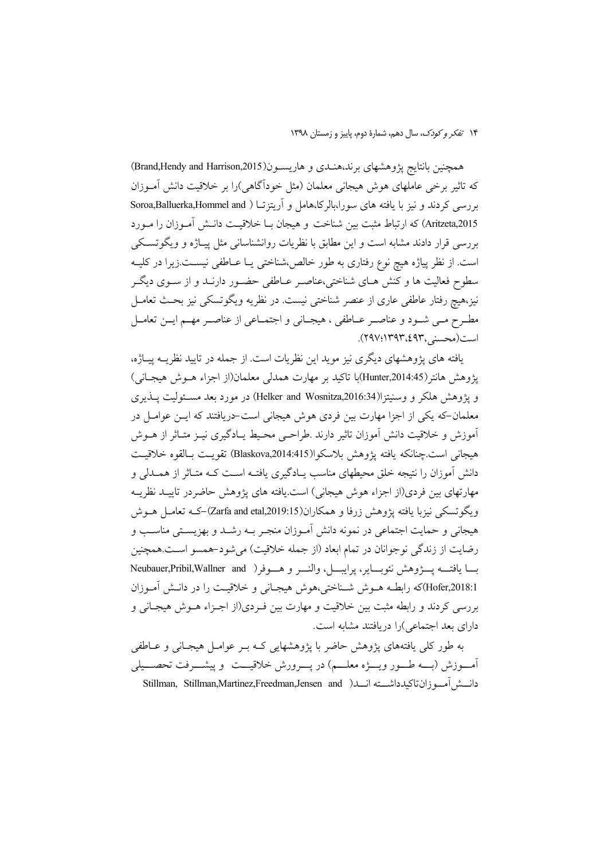همچنین بانتایج پژوهشهای برند،هنـدی و هاریسـون(Brand,Hendy and Harrison,2015) که تاثیر برخی عاملهای هوش هیجانی معلمان (مثل خوداًگاهی)را بر خلاقیت دانش آمـوزان بررسی کردند و نیز با یافته های سورا،بالرکا،هامل و اَریتزتا ( Soroa,Balluerka,Hommel and Aritzeta,2015) كه ارتباط مثبت بين شناخت و هيجان بـا خلاقيـت دانـش أمـوزان را مـورد بررسی قرار دادند مشابه است و این مطابق با نظریات روانشناسانی مثل پیـاژه و ویگوتسـکی است. از نظر پیاژه هیچ نوع رفتاری به طور خالص،شناختی یـا عــاطفی نیســت.زیرا در کلیــه سطوح فعالیت ها و کنش هـای شناختی،عناصـر عــاطفی حضــور دارنــد و از ســوی دیگــر نیز،هیچ رفتار عاطفی عاری از عنصر شناختی نیست. در نظریه ویگوتسکی نیز بحـث تعامــل مطـرح مـي شـود و عناصـر عــاطفي ، هيجــاني و اجتمــاعي از عناصــر مهــم ايــن تعامــل است(محسنی،۶۹۳،£۹۳).

یافته های پژوهشهای دیگری نیز موید این نظریات است. از جمله در تایید نظریــه پیــاژه، پژوهش هانتر(Hunter,2014:45)با تاکید بر مهارت همدلی معلمان(از اجزاء هــوش هیجــانی) و يژوهش هلكر و وسنيتزا(Helker and Wosnitza,2016:34) در مورد بعد مسئوليت يــذيرى معلمان-که یکی از اجزا مهارت بین فردی هوش هیجانی است-دریافتند که ایــن عوامــل در آموزش و خلاقیت دانش آموزان تاثیر دارند .طراحـی محـیط یـادگیری نیـز متـاثر از هــوش هيجاني است چنانكه يافته يژوهش بلاسكوا(Blaskova,2014:415) تقويت بـالقوه خلاقيـت دانش آموزان را نتیجه خلق محیطهای مناسب پـادگیری یافتـه اسـت کـه متـاثر از همــدلی و مهارتهاي بين فردي(از اجزاء هوش هيجاني) است يافته هاي پژوهش حاضردر تاييـد نظريــه و بگوتسکی نیزبا یافته یژوهش زرفا و همکاران(Zarfa and etal,2019:15)–ک تعامل هـوش هیجانی و حمایت اجتماعی در نمونه دانش آمـوزان منجـر بــه رشــد و بهزیســتی مناســب و رضايت از زندگي نوجوانان در تمام ابعاد (از جمله خلاقيت) مي شود-همسو است.همچنين بسا يافتـــه يســـرْوهش نئوبــــاير، يرايبــــل، والنــــر و هــــوفر( Neubauer,Pribil,Wallner and Hofer,2018:1)كه رابطـه هــوش شــناختى،هوش هيجـاني و خلاقيــت را در دانـش أمــوزان بررسی کردند و رابطه مثبت بین خلاقیت و مهارت بین فـردی(از اجـزاء هــوش هیجــانی و دارای بعد اجتماعی)را دریافتند مشابه است.

به طور کلی یافتههای پژوهش حاضر با پژوهشهایی کـه بـر عوامـل هیجـانی و عــاطفی آمــوزش (بـــه طـــور ويــــژه معلــــم) در يــــرورش خلاقيـــت و ييشــــرفت تحصـــيلي دانسش آموزانتاكيدداشت انسلا Stillman, Stillman,Martinez,Freedman,Jensen and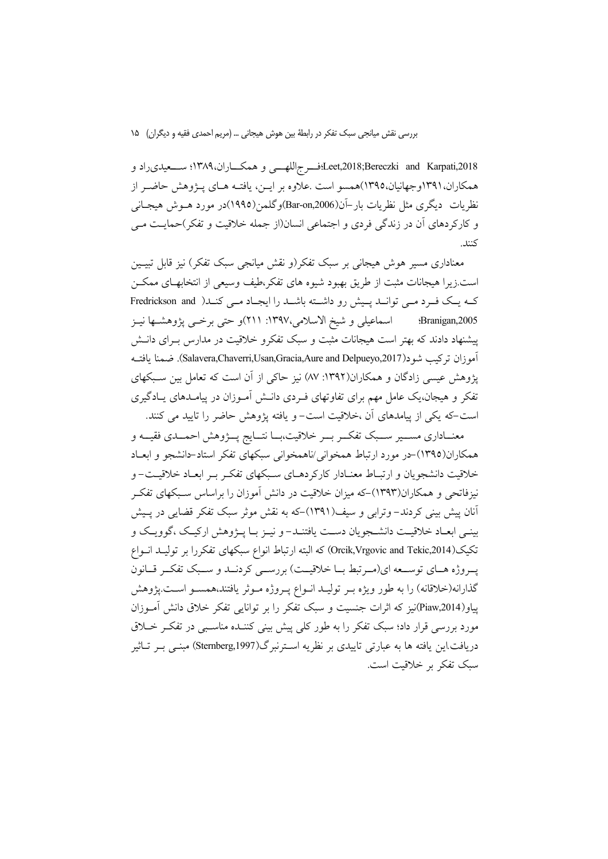Leet,2018;Bereczki and Karpati,2018؛قسرجاللهسی و همکساران،۱۳۸۹؛ سسعیدی راد و همکاران،۱۳۹۱وجهانیان،۱۳۹۵)همسو است .علاوه بر ایــن، یافتــه هــای پــژوهش حاضــر از نظريات ديگري مثل نظريات بار–آن(Bar-on,2006)وگلمن(١٩٩٥)در مورد هــوش هيجــانـي و کارکر دهای آن در زندگی فردی و اجتماعی انسان(از جمله خلاقیت و تفکر)حمایت می كنند.

معناداری مسیر هوش هیجانی بر سبک تفکر(و نقش میانجی سبک تفکر) نیز قابل تبیـین است زیرا هیجانات مثبت از طریق بهبود شیوه های تفکر،طیف وسیعی از انتخابهـای ممکــن که یک فرد می توانید پیش رو داشته باشید را ایجاد می کنید( Fredrickson and اسماعیلی و شیخ الاسلامی،۱۳۹۷: ۲۱۱)و حتی برخــی پژوهشــها نیــز :Branigan, 2005 پیشنهاد دادند که بهتر است هیجانات مثبت و سبک تفکرو خلاقیت در مدارس بـرای دانــش آموزان تركيب شود(Salavera,Chaverri,Usan,Gracia,Aure and Delpueyo,2017). ضمنا يافتــه پژوهش عیسی زادگان و همکاران(۱۳۹۲: ۸۷) نیز حاکی از آن است که تعامل بین سـبکهای تفکر و هیجان،یک عامل مهم برای تفاوتهای فـردی دانــش آمـوزان در پیامــدهای پــادگیری است-که یکی از پیامدهای آن ،خلاقیت است- و یافته یژوهش حاضر را تایید می کنند.

معنــاداري مســـير ســبک تفکــر بــر خلاقيت،بــا نتــايج پـــژوهش احمـــدي فقيـــه و همکاران(١٣٩٥)حر مورد ارتباط همخواني/ناهمخواني سبکهاي تفکر استادحانشجو و ابعـاد خلاقیت دانشجویان و ارتبـاط معنـادار کارکردهـای سـبکهای تفکـر بـر ابعـاد خلاقیـت- و نیزفاتحی و همکاران(۱۳۹۳)–که میزان خلاقیت در دانش آموزان را براساس سـبکهای تفکـر آنان پیش بینی کردند–وترابی و سیف(۱۳۹۱)–که به نقش موثر سبک تفکر قضایی در پـیش بینمی ابعـاد خلاقیـت دانشـجویان دسـت یافتنـد-و نیـز بـا پـژوهش ارکیـک ،گوویـک و تكيك(Orcik,Vrgovic and Tekic,2014) كه البته ارتباط انواع سبكهاى تفكررا بر توليـد انــواع پروژه هـاي توسـعه اي(مـرتبط بــا خلاقيــت) بررســي كردنــد و سـبک تفكــر قــانون گذارانه(خلاقانه) را به طور ویژه بـر تولیـد انـواع پـروژه مـوثر یافتند،همسـو اسـت.پژوهش پیاو(Piaw,2014)نیز که اثرات جنسیت و سبک تفکر را بر توانایی تفکر خلاق دانش آمـوزان مورد بررسی قرار داد؛ سبک تفکر را به طور کلی پیش بینی کننــده مناســبی در تفکــر خــلاق دريافت اين يافته ها به عبارتي تاييدي بر نظريه اســترنبرگ(Sternberg,1997) مبنــي بــر تــاثير سبک تفکر بر خلاقیت است.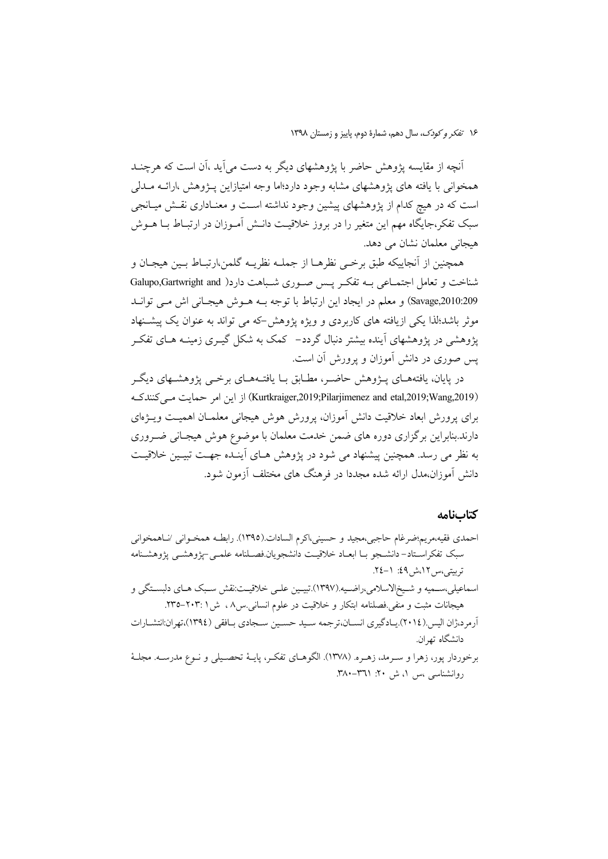أنچه از مقایسه پژوهش حاضر با پژوهشهای دیگر به دست می آید ،آن است که هرچنــد همخوانی با یافته های یژوهشهای مشابه وجود دارد؛اما وجه امتیازاین پـژوهش ،ارائــه مــدلی است که در هیچ کدام از پژوهشهای پیشین وجود نداشته اسـت و معنـاداری نقـش میـانجی سبک تفکر،جایگاه مهم این متغیر را در بروز خلاقیت دانــش آمــوزان در ارتبــاط بــا هــوش هیجانی معلمان نشان می دهد.

همچنين از آنجاييكه طبق برخبي نظرهــا از جملــه نظريــه گلمن،ارتبــاط بــين هيجــان و شناخت و تعامل اجتمـاعی بـه تفکـر يـس صـوري شـباهت دارد( Galupo,Gartwright and Savage,2010:209) و معلم در ايجاد اين ارتباط با توجه بـه هـوش هيجـاني اش مـي توانـد موثر باشد؛لذا یکی ازیافته های کاربردی و ویژه پژوهش-که می تواند به عنوان یک پیشـنهاد یژوهشی در یژوهشهای آینده بیشتر دنبال گردد– کمک به شکل گیــری زمینــه هــای تفکــر یس صوری در دانش آموزان و پرورش آن است.

در پایان، یافتههــای پـــزوهش حاضــر، مطــابق بــا یافتــههــای برخـــی پژوهشــهای دیگــر (Kurtkraiger,2019;Pilarjimenez and etal,2019;Wang,2019) از این امر حمایت مے کنندک برای پرورش ابعاد خلاقیت دانش آموزان، پرورش هوش هیجانی معلمـان اهمیـت ویــژهای دارند.بنابراین برگزاری دوره های ضمن خدمت معلمان با موضوع هوش هیجـانی ضــروری به نظر می رسد. همچنین پیشنهاد می شود در پژوهش هـای اَینـده جهـت تبیـین خلاقیـت دانش آموزان،مدل ارائه شده مجددا در فرهنگ های مختلف آزمون شود.

#### كتابنامه

احمدي فقيه،مريم؛ضرغام حاجبي،مجيد و حسيني،اكرم السادات.(١٣٩٥). رابطـه همخـواني /نـاهمخواني سبک تفکراستاد–دانشجو بــا ابعــاد خلاقیــت دانشجو یان.فصــلنامه علمــی –یژوهشــی یژوهشــنامه تربيتي،س ١٢،ش ٤٩: ١-٢٤. اسماعيلي،سـميه و شـيخالاسلامي،راضـيه.(١٣٩٧).تبيـين علـي خلاقيـت:نقش سـبک هـاي دلبسـتگي و هیجانات مثبت و منفی فصلنامه ابتکار و خلاقیت در علوم انسانی س۸، ش ۲۰۳۱-۲۳۵. آرم د،ژان الیس (٢٠١٤).پیادگیری انسیان،ترجمه سید حسین سیجادی بیافقی (١٣٩٤)،تهران:انتشیارات دانشگاه تهران. برخوردار پور، زهرا و سـرمد، زهـره. (١٣٧٨). الگوهـاي تفكـر، پايــهٔ تحصـيلي و نــوع مدرســه. مجلــهٔ روانشناسی ،س ۱، ش ۲۰: ۳۸۱–۳۸۰.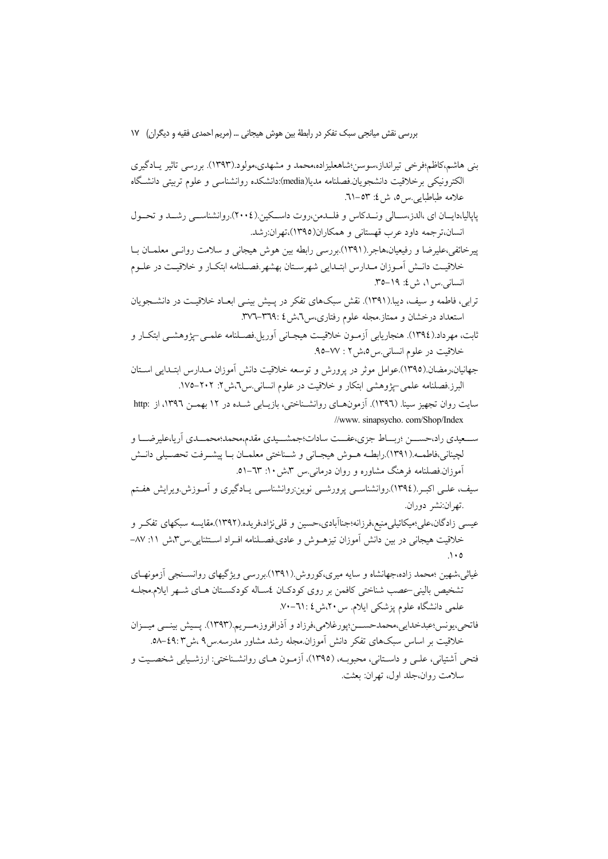بنی هاشم،کاظم؛فرخی تیرانداز،سوسن؛شاهعلیزاده،محمد و مشهدی،مولود.(۱۳۹۳). بررسی تاثیر پادگیری الکترونیکی برخلاقیت دانشجویان.فصلنامه مدیا(media):دانشکده روانشناسی و علوم تربیتی دانشگاه علامه طباطبايي س ٥، ش ٤: ٥٣–٦١.

پاپالیا،دایــان ای ،الدز،ســالی ونــدکاس و فلــدمن،روت داســکین.(٢٠٠٤).روانشناســی رشــد و تحــول انسان،ترجمه داود عرب قهستانی و همکاران(۱۳۹۵)،تهران:رشد.

پیرخائفی،علیرضا و رفیعیان،هاجر.(۱۳۹۱).بررسی رابطه بین هوش هیجانی و سلامت روانـی معلمـان بـا خلاقيت دانـش آمـوزان مـدارس ابتـدايي شهرسـتان بهشهر.فصـلنامه ابتكـار و خلاقيـت در علـوم انسانی س ۱، ش ٤: ۱۹–۳۵.

- ترابی، فاطمه و سیف، دیبا.(۱۳۹۱). نقش سبکهای تفکر در پـیش بینـی ابعـاد خلاقیـت در دانشــجویان
- ثابت، مهرداد.(١٣٩٤). هنجاريابي آزمـون خلاقيـت هيجـاني آوريل.فصـلنامه علمـي-پژوهشـي ابتكـار و خلاقيت در علوم انساني س ٥،ش ٢ : ٧٧–٩٥.
- جهانیان،رمضان.(١٣٩٥).عوامل موثر در پرورش و توسعه خلاقیت دانش آموزان مـدارس ابتـدایی اسـتان البرز.فصلنامه علمي-يژوهشي ابتكار و خلاقيت در علوم انساني س۲،ش۲: ۲۰۲–۱۷۵.
- سایت روان تجهیز سینا. (۱۳۹٦). آزمونهـای روانشـناختی، بازیـابی شــده در ۱۲ بهمـن ۱۳۹٦، از :http //www. sinapsycho. com/Shop/Index
- ســعيدي راد،حســـن ؛ربـــاط جزي،عفـــت سادات؛جمشــيدي مقدم،محمد؛محمـــدي أريا،عليرضــــا و لچینانی،فاطمــه.(١٣٩١).رابطــه هــوش هیجــانی و شــناختی معلمــان بــا پیشــرفت تحصــیلی دانــش آموزان فصلنامه فرهنگ مشاوره و روان درمانه بس ۳،ش ۱۰: ٦٣–٥١.
- سیف، علـی اکبـر (١٣٩٤).روانشناسـی پرورشـی نوین:روانشناسـی یـادگیری و آمـوزش.ویرایش هفـتم .تهران:نشر دوران.
- عیسی زادگان،علی؛میکائیلی،منیع،فرزانه؛جناآبادی،حسین و قلی نژاد،فریده.(۱۳۹۲).مقایسه سبکهای تفک و خلاقیت هیجانی در بین دانش اَموزان تیزهــوش و عادی.فصــلنامه افــراد اســتثنایی.س۳،ش ۱۱: ۸۷–  $\Lambda$  0
- غیاثی،شهین ؛محمد زاده،جهانشاه و سایه میری،کوروش (۱۳۹۱).بررسی ویژگیهای روانسـنجی اَزمونهـای تشخيص باليني عصب شناختي كافمن بر روى كودكـان ئمسـاله كودكسـتان هـاي شـهر ايلام.مجلـه علمی دانشگاه علوم پزشکی ایلام. س ۲۰٪ش ۲۱: ۷۰–۷۰.

فاتحي،يونس؛عبدخدايي،محمدحســـن؛پورغلامي،فرزاد و أذرافروز،مـــريم.(١٣٩٣). پــيش بينـــي ميـــزان خلاقیت بر اساس سبکهای تفکر دانش آموزان.مجله رشد مشاور مدرسه.س ۹ ،ش ٤٩:۳-٥٨. فتحي اَشتياني، علـي و داسـتاني، محبوبـه، (١٣٩٥)، اَزمـون هـاي روانشـناختي: ارزشـيابي شخصـيت و سلامت روان،جلد اول، تھران: بعثت.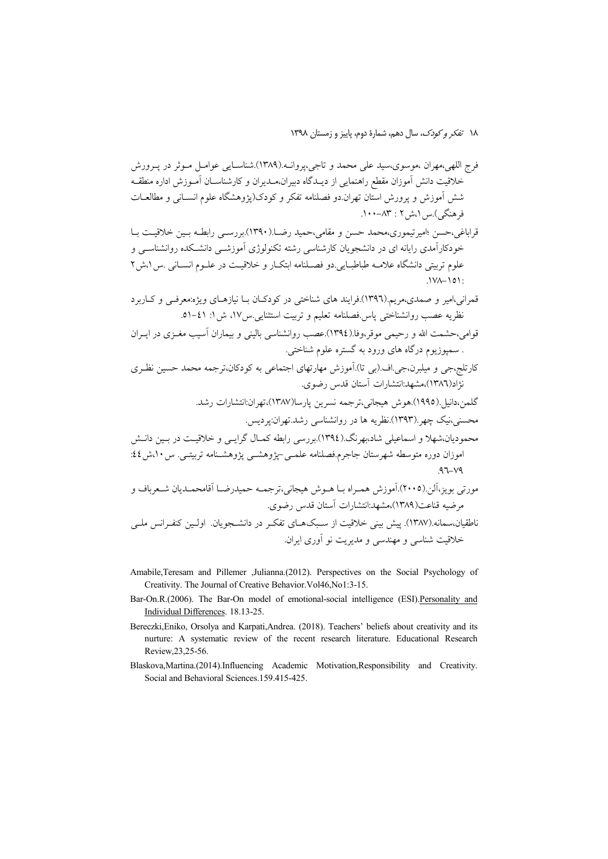١٨ تفكر وكودك، سال دهم، شمارة دوم، ياييز و زمستان ١٣٩٨

- قراباغي،حسن ؛اميرتيموري،محمد حسن و مقامي،حميد رضــا.(١٣٩٠).بررســي رابطــه بــين خلاقيــت بــا خودکارآمدی رایانه ای در دانشجویان کارشناسی رشته تکنولوژی آموزشــی دانشــکده روانشناســی و علوم تربيتي دانشگاه علامــه طباطبــايي.دو فصــلنامه ابتكــار و خلاقيــت در علــوم انســانـي .س١،ش٢  $1V - 101$
- قمرانی،امیر و صمدی،مریم.(۱۳۹٦).فرایند های شناختی در کودکـان بــا نیازهــای ویژه:معرفــی و کــاربرد نظريه عصب روانشناختي پاس فصلنامه تعليم و تربيت استثنايي س١٧، ش ١: ٤١-٥١.
- قوامی،حشمت الله و رحیمی موقر،وفا.(١٣٩٤).عصب روانشناسی بالینی و بیماران آسیب مغـزی در ایـران . سمپوزیوم درگاه های ورود به گستره علوم شناختی.
- کارتلج،جی و میلبرن،جی اف (بی تا) آموزش مهارتهای اجتماعی به کودکان،ترجمه محمد حسین نظـری نژاد(۱۳۸٦)،مشهد:انتشارات آستان قدس رضوي.
- گلمن،دانيا .(١٩٩٥).هوش هيجاني،ترجمه نسرين پارسا(١٣٨٧)،تهران:انتشارات رشد. محسنی،نیک چهر (۱۳۹۳).نظریه ها در روانشناسی رشد.تهران:یردیس. محمودیان،شهلا و اسماعیلی شاد،بهرنگ (١٣٩٤).بررسی رابطه کمـال گرایــی و خلاقیـت در بـین دانـش
- اموزان دوره متوسطه شهرستان جاجرم.فصلنامه علمـي-يژوهشـي يژوهشـنامه تربيتـي. س ١٠،ش ٤٤:

مورتی بویز،آلن.(٢٠٠٥).آموزش همبراه بیا هیوش هیجانی،ترجمه حمیدرضیا آقامحمیدیان شیعرباف و مرضيه قناعت(١٣٨٩)،مشهد:انتشارات آستان قدس رضوي. ناطقیان،سمانه.(۱۳۸۷). پیش بینی خلاقیت از سـبکهـای تفکـر در دانشـجویان. اولـین کنفـرانس ملـی خلاقیت شناسی و مهندسی و مدیریت نو آوری ایران.

- Amabile, Teresam and Pillemer , Julianna. (2012). Perspectives on the Social Psychology of Creativity. The Journal of Creative Behavior. Vol46, No1:3-15.
- Bar-On.R.(2006). The Bar-On model of emotional-social intelligence (ESI).Personality and Individual Differences. 18.13-25.
- Bereczki, Eniko, Orsolya and Karpati, Andrea. (2018). Teachers' beliefs about creativity and its nurture: A systematic review of the recent research literature. Educational Research Review, 23, 25-56.
- Blaskova, Martina.(2014). Influencing Academic Motivation, Responsibility and Creativity. Social and Behavioral Sciences.159.415-425.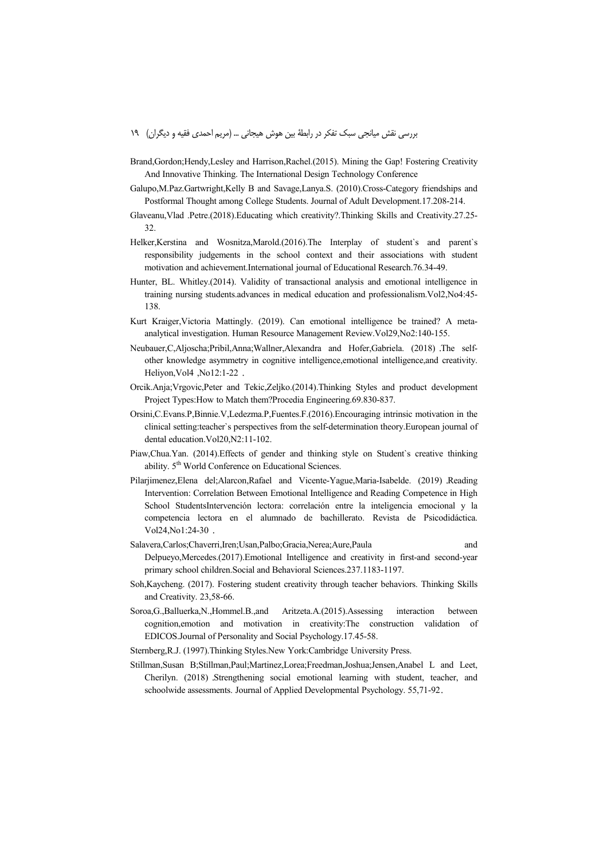- Brand,Gordon;Hendy,Lesley and Harrison,Rachel.(2015). Mining the Gap! Fostering Creativity And Innovative Thinking. The International Design Technology Conference
- Galupo,M.Paz.Gartwright,Kelly B and Savage,Lanya.S. (2010).Cross-Category friendships and Postformal Thought among College Students. Journal of Adult Development.17.208-214.
- Glaveanu,Vlad .Petre.(2018).Educating which creativity?.Thinking Skills and Creativity.27.25- 32.
- Helker,Kerstina and Wosnitza,Marold.(2016).The Interplay of student`s and parent`s responsibility judgements in the school context and their associations with student motivation and achievement.International journal of Educational Research.76.34-49.
- Hunter, BL. Whitley.(2014). Validity of transactional analysis and emotional intelligence in training nursing students.advances in medical education and professionalism.Vol2,No4:45- 138.
- Kurt Kraiger,Victoria Mattingly. (2019). Can emotional intelligence be trained? A metaanalytical investigation. Human Resource Management Review.Vol29,No2:140-155.
- Neubauer,C,Aljoscha;Pribil,Anna;Wallner,Alexandra and Hofer,Gabriela. (2018) .The selfother knowledge asymmetry in cognitive intelligence,emotional intelligence,and creativity. Heliyon,Vol4 ,No12:1-22 .
- Orcik.Anja;Vrgovic,Peter and Tekic,Zeljko.(2014).Thinking Styles and product development Project Types:How to Match them?Procedia Engineering.69.830-837.
- Orsini,C.Evans.P,Binnie.V,Ledezma.P,Fuentes.F.(2016).Encouraging intrinsic motivation in the clinical setting:teacher`s perspectives from the self-determination theory.European journal of dental education.Vol20,N2:11-102.
- Piaw,Chua.Yan. (2014).Effects of gender and thinking style on Student`s creative thinking ability. 5<sup>th</sup> World Conference on Educational Sciences.
- Pilarjimenez,Elena del;Alarcon,Rafael and Vicente-Yague,Maria-Isabelde. (2019) .Reading Intervention: Correlation Between Emotional Intelligence and Reading Competence in High School StudentsIntervención lectora: correlación entre la inteligencia emocional y la competencia lectora en el alumnado de bachillerato. Revista de Psicodidáctica. Vol24,No1:24-30 .
- Salavera,Carlos;Chaverri,Iren;Usan,Palbo;Gracia,Nerea;Aure,Paula and Delpueyo,Mercedes.(2017).Emotional Intelligence and creativity in first-and second-year primary school children.Social and Behavioral Sciences.237.1183-1197.
- Soh,Kaycheng. (2017). Fostering student creativity through teacher behaviors. Thinking Skills and Creativity. 23,58-66.
- Soroa,G.,Balluerka,N.,Hommel.B.,and Aritzeta.A.(2015).Assessing interaction between cognition,emotion and motivation in creativity:The construction validation of EDICOS.Journal of Personality and Social Psychology.17.45-58.
- Sternberg,R.J. (1997).Thinking Styles.New York:Cambridge University Press.
- Stillman,Susan B;Stillman,Paul;Martinez,Lorea;Freedman,Joshua;Jensen,Anabel L and Leet, Cherilyn. (2018) .Strengthening social emotional learning with student, teacher, and schoolwide assessments. Journal of Applied Developmental Psychology. 55,71-92.